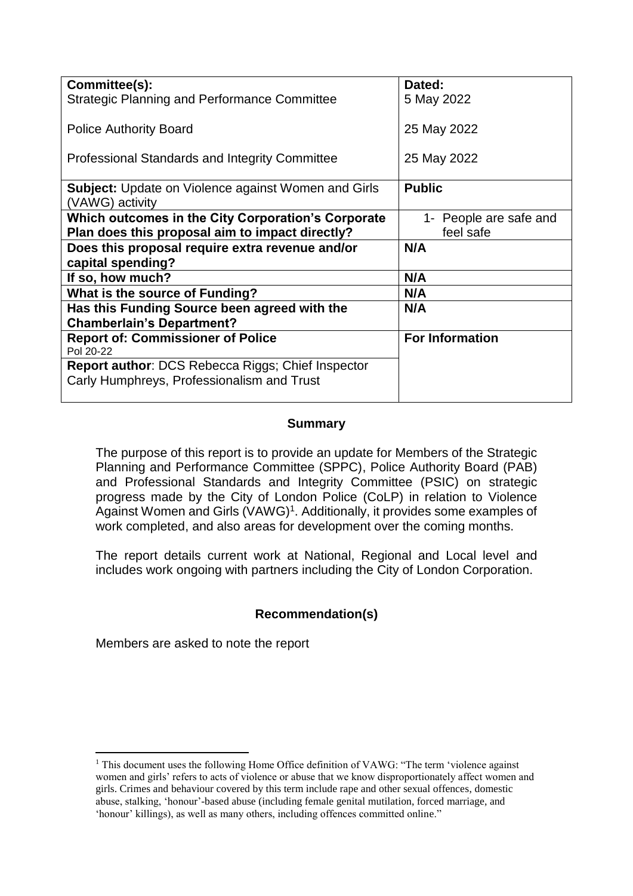| Committee(s):<br>Dated:                                                      |
|------------------------------------------------------------------------------|
|                                                                              |
| <b>Strategic Planning and Performance Committee</b><br>5 May 2022            |
|                                                                              |
| 25 May 2022<br><b>Police Authority Board</b>                                 |
|                                                                              |
|                                                                              |
| Professional Standards and Integrity Committee<br>25 May 2022                |
|                                                                              |
| <b>Public</b><br><b>Subject:</b> Update on Violence against Women and Girls  |
| (VAWG) activity                                                              |
|                                                                              |
| Which outcomes in the City Corporation's Corporate<br>1- People are safe and |
| Plan does this proposal aim to impact directly?<br>feel safe                 |
| Does this proposal require extra revenue and/or<br>N/A                       |
| capital spending?                                                            |
|                                                                              |
| N/A<br>If so, how much?                                                      |
| <b>What is the source of Funding?</b><br>N/A                                 |
| Has this Funding Source been agreed with the<br>N/A                          |
| <b>Chamberlain's Department?</b>                                             |
|                                                                              |
| <b>Report of: Commissioner of Police</b><br><b>For Information</b>           |
| Pol 20-22                                                                    |
| Report author: DCS Rebecca Riggs; Chief Inspector                            |
| Carly Humphreys, Professionalism and Trust                                   |
|                                                                              |

## **Summary**

The purpose of this report is to provide an update for Members of the Strategic Planning and Performance Committee (SPPC), Police Authority Board (PAB) and Professional Standards and Integrity Committee (PSIC) on strategic progress made by the City of London Police (CoLP) in relation to Violence Against Women and Girls (VAWG)<sup>1</sup>. Additionally, it provides some examples of work completed, and also areas for development over the coming months.

The report details current work at National, Regional and Local level and includes work ongoing with partners including the City of London Corporation.

# **Recommendation(s)**

Members are asked to note the report

1

<sup>&</sup>lt;sup>1</sup> This document uses the following Home Office definition of VAWG: "The term 'violence against women and girls' refers to acts of violence or abuse that we know disproportionately affect women and girls. Crimes and behaviour covered by this term include rape and other sexual offences, domestic abuse, stalking, 'honour'-based abuse (including female genital mutilation, forced marriage, and 'honour' killings), as well as many others, including offences committed online."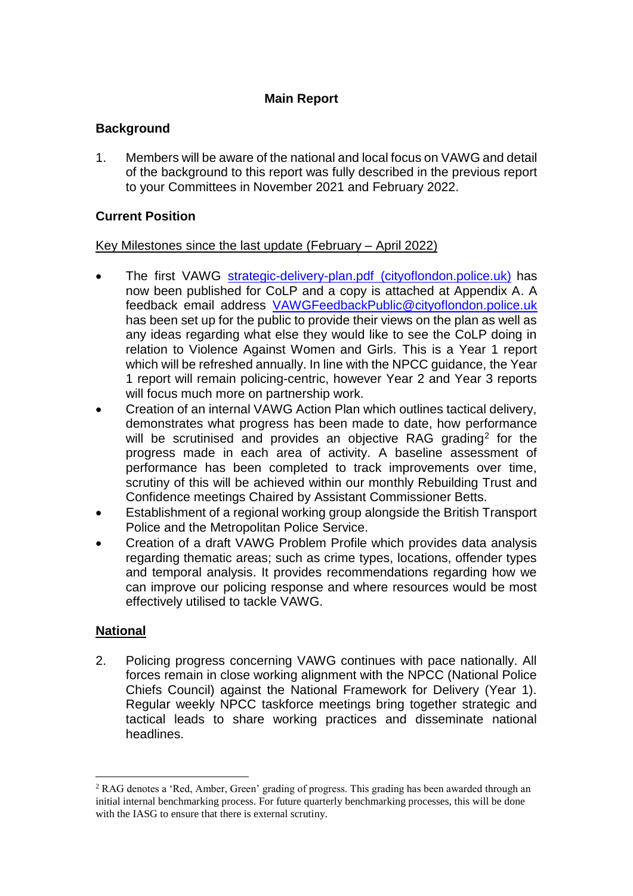## **Main Report**

# **Background**

1. Members will be aware of the national and local focus on VAWG and detail of the background to this report was fully described in the previous report to your Committees in November 2021 and February 2022.

## **Current Position**

#### Key Milestones since the last update (February – April 2022)

- The first VAWG [strategic-delivery-plan.pdf \(cityoflondon.police.uk\)](https://www.cityoflondon.police.uk/SysSiteAssets/media/downloads/city-of-london/about-us/strategic-delivery-plan.pdf) has now been published for CoLP and a copy is attached at Appendix A. A feedback email address [VAWGFeedbackPublic@cityoflondon.police.uk](mailto:VAWGFeedbackPublic@cityoflondon.police.uk) has been set up for the public to provide their views on the plan as well as any ideas regarding what else they would like to see the CoLP doing in relation to Violence Against Women and Girls. This is a Year 1 report which will be refreshed annually. In line with the NPCC guidance, the Year 1 report will remain policing-centric, however Year 2 and Year 3 reports will focus much more on partnership work.
- Creation of an internal VAWG Action Plan which outlines tactical delivery, demonstrates what progress has been made to date, how performance will be scrutinised and provides an objective RAG grading<sup>2</sup> for the progress made in each area of activity. A baseline assessment of performance has been completed to track improvements over time, scrutiny of this will be achieved within our monthly Rebuilding Trust and Confidence meetings Chaired by Assistant Commissioner Betts.
- Establishment of a regional working group alongside the British Transport Police and the Metropolitan Police Service.
- Creation of a draft VAWG Problem Profile which provides data analysis regarding thematic areas; such as crime types, locations, offender types and temporal analysis. It provides recommendations regarding how we can improve our policing response and where resources would be most effectively utilised to tackle VAWG.

#### **National**

 $\overline{a}$ 

2. Policing progress concerning VAWG continues with pace nationally. All forces remain in close working alignment with the NPCC (National Police Chiefs Council) against the National Framework for Delivery (Year 1). Regular weekly NPCC taskforce meetings bring together strategic and tactical leads to share working practices and disseminate national headlines.

<sup>&</sup>lt;sup>2</sup> RAG denotes a 'Red, Amber, Green' grading of progress. This grading has been awarded through an initial internal benchmarking process. For future quarterly benchmarking processes, this will be done with the IASG to ensure that there is external scrutiny.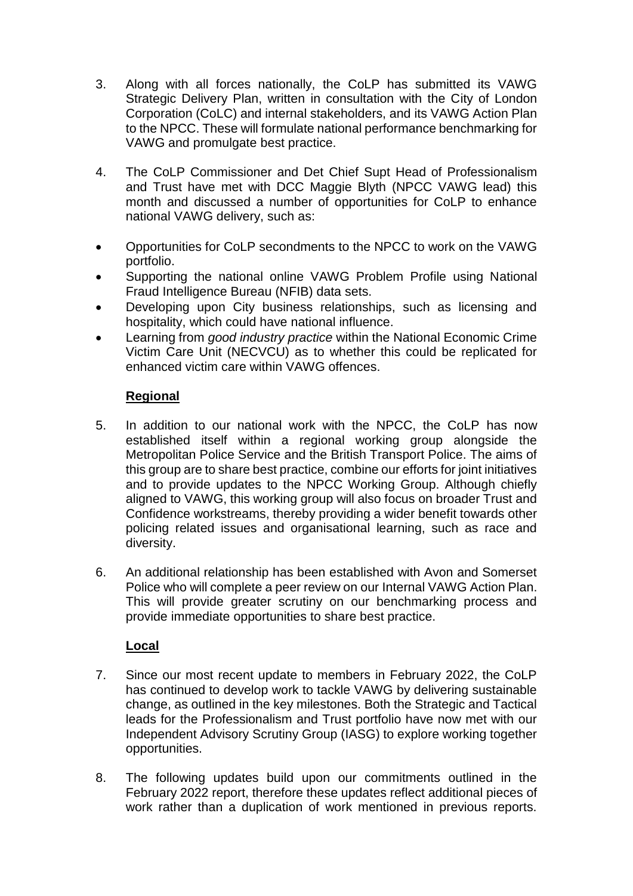- 3. Along with all forces nationally, the CoLP has submitted its VAWG Strategic Delivery Plan, written in consultation with the City of London Corporation (CoLC) and internal stakeholders, and its VAWG Action Plan to the NPCC. These will formulate national performance benchmarking for VAWG and promulgate best practice.
- 4. The CoLP Commissioner and Det Chief Supt Head of Professionalism and Trust have met with DCC Maggie Blyth (NPCC VAWG lead) this month and discussed a number of opportunities for CoLP to enhance national VAWG delivery, such as:
- Opportunities for CoLP secondments to the NPCC to work on the VAWG portfolio.
- Supporting the national online VAWG Problem Profile using National Fraud Intelligence Bureau (NFIB) data sets.
- Developing upon City business relationships, such as licensing and hospitality, which could have national influence.
- Learning from *good industry practice* within the National Economic Crime Victim Care Unit (NECVCU) as to whether this could be replicated for enhanced victim care within VAWG offences.

# **Regional**

- 5. In addition to our national work with the NPCC, the CoLP has now established itself within a regional working group alongside the Metropolitan Police Service and the British Transport Police. The aims of this group are to share best practice, combine our efforts for joint initiatives and to provide updates to the NPCC Working Group. Although chiefly aligned to VAWG, this working group will also focus on broader Trust and Confidence workstreams, thereby providing a wider benefit towards other policing related issues and organisational learning, such as race and diversity.
- 6. An additional relationship has been established with Avon and Somerset Police who will complete a peer review on our Internal VAWG Action Plan. This will provide greater scrutiny on our benchmarking process and provide immediate opportunities to share best practice.

# **Local**

- 7. Since our most recent update to members in February 2022, the CoLP has continued to develop work to tackle VAWG by delivering sustainable change, as outlined in the key milestones. Both the Strategic and Tactical leads for the Professionalism and Trust portfolio have now met with our Independent Advisory Scrutiny Group (IASG) to explore working together opportunities.
- 8. The following updates build upon our commitments outlined in the February 2022 report, therefore these updates reflect additional pieces of work rather than a duplication of work mentioned in previous reports.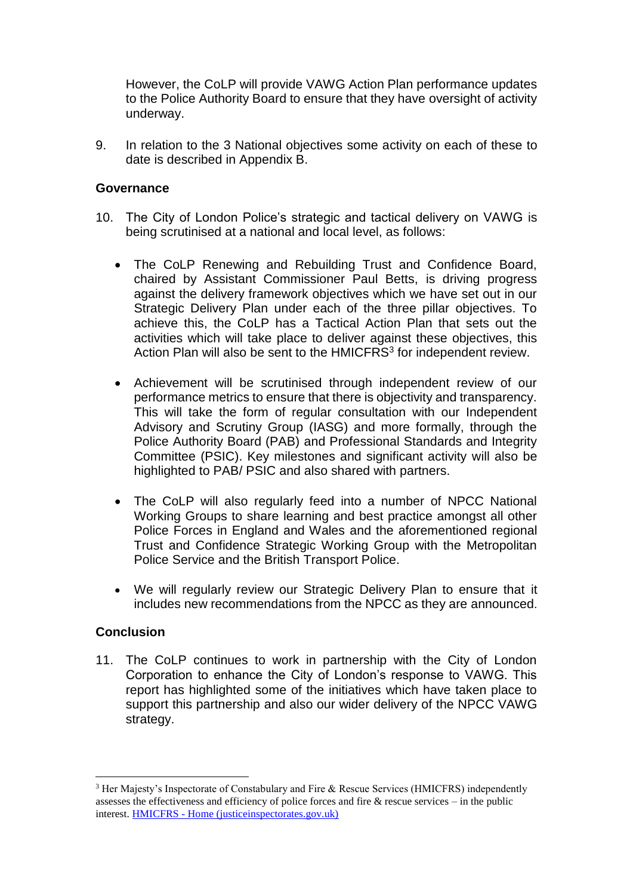However, the CoLP will provide VAWG Action Plan performance updates to the Police Authority Board to ensure that they have oversight of activity underway.

9. In relation to the 3 National objectives some activity on each of these to date is described in Appendix B.

#### **Governance**

- 10. The City of London Police's strategic and tactical delivery on VAWG is being scrutinised at a national and local level, as follows:
	- The CoLP Renewing and Rebuilding Trust and Confidence Board, chaired by Assistant Commissioner Paul Betts, is driving progress against the delivery framework objectives which we have set out in our Strategic Delivery Plan under each of the three pillar objectives. To achieve this, the CoLP has a Tactical Action Plan that sets out the activities which will take place to deliver against these objectives, this Action Plan will also be sent to the HMICFRS<sup>3</sup> for independent review.
	- Achievement will be scrutinised through independent review of our performance metrics to ensure that there is objectivity and transparency. This will take the form of regular consultation with our Independent Advisory and Scrutiny Group (IASG) and more formally, through the Police Authority Board (PAB) and Professional Standards and Integrity Committee (PSIC). Key milestones and significant activity will also be highlighted to PAB/ PSIC and also shared with partners.
	- The CoLP will also regularly feed into a number of NPCC National Working Groups to share learning and best practice amongst all other Police Forces in England and Wales and the aforementioned regional Trust and Confidence Strategic Working Group with the Metropolitan Police Service and the British Transport Police.
	- We will regularly review our Strategic Delivery Plan to ensure that it includes new recommendations from the NPCC as they are announced.

#### **Conclusion**

 $\overline{a}$ 

11. The CoLP continues to work in partnership with the City of London Corporation to enhance the City of London's response to VAWG. This report has highlighted some of the initiatives which have taken place to support this partnership and also our wider delivery of the NPCC VAWG strategy.

<sup>3</sup> Her Majesty's Inspectorate of Constabulary and Fire & Rescue Services (HMICFRS) independently assesses the effectiveness and efficiency of police forces and fire & rescue services – in the public interest. HMICFRS - [Home \(justiceinspectorates.gov.uk\)](https://www.justiceinspectorates.gov.uk/hmicfrs/)